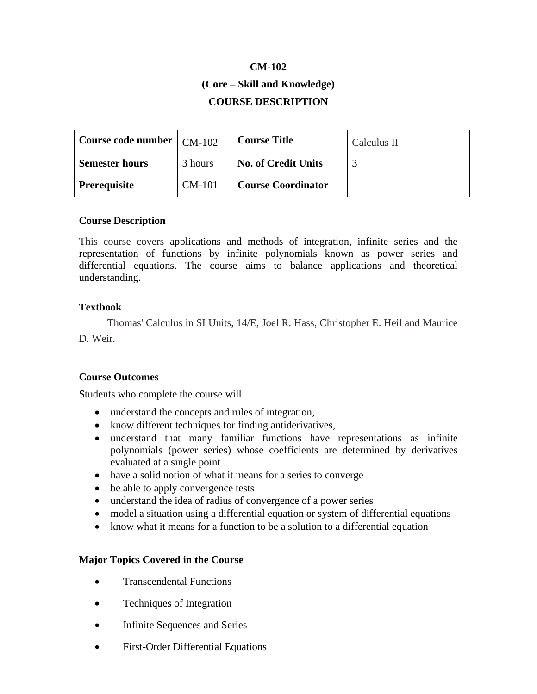# **CM-102**

# **(Core – Skill and Knowledge) COURSE DESCRIPTION**

| Course code number $\vert$ CM-102 |          | <b>Course Title</b>        | Calculus II |
|-----------------------------------|----------|----------------------------|-------------|
| <b>Semester hours</b>             | 3 hours  | <b>No. of Credit Units</b> |             |
| <b>Prerequisite</b>               | $CM-101$ | <b>Course Coordinator</b>  |             |

## **Course Description**

This course covers applications and methods of integration, infinite series and the representation of functions by infinite polynomials known as power series and differential equations. The course aims to balance applications and theoretical understanding.

## **Textbook**

Thomas' Calculus in SI Units, 14/E, Joel R. Hass, Christopher E. Heil and Maurice D. Weir.

# **Course Outcomes**

Students who complete the course will

- understand the concepts and rules of integration,
- know different techniques for finding antiderivatives,
- understand that many familiar functions have representations as infinite polynomials (power series) whose coefficients are determined by derivatives evaluated at a single point
- have a solid notion of what it means for a series to converge
- be able to apply convergence tests
- understand the idea of radius of convergence of a power series
- model a situation using a differential equation or system of differential equations
- know what it means for a function to be a solution to a differential equation

# **Major Topics Covered in the Course**

- Transcendental Functions
- Techniques of Integration
- Infinite Sequences and Series
- First-Order Differential Equations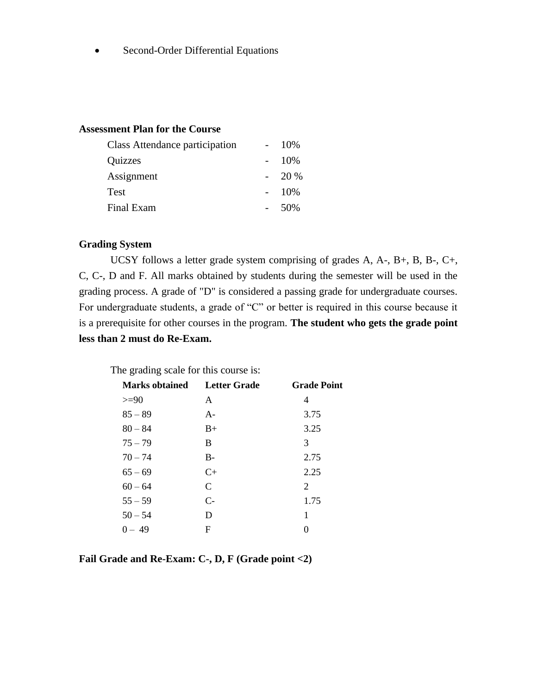• Second-Order Differential Equations

#### **Assessment Plan for the Course**

| Class Attendance participation |  | 10\% |
|--------------------------------|--|------|
| Quizzes                        |  | 10%  |
| Assignment                     |  | 20 % |
| Test                           |  | 10%  |
| Final Exam                     |  | 50%  |

#### **Grading System**

UCSY follows a letter grade system comprising of grades A, A-, B+, B, B-, C+, C, C-, D and F. All marks obtained by students during the semester will be used in the grading process. A grade of "D" is considered a passing grade for undergraduate courses. For undergraduate students, a grade of "C" or better is required in this course because it is a prerequisite for other courses in the program. **The student who gets the grade point less than 2 must do Re-Exam.**

| The grading scale for this course is: |              |                    |  |  |  |
|---------------------------------------|--------------|--------------------|--|--|--|
| <b>Marks obtained</b>                 | Letter Grade | <b>Grade Point</b> |  |  |  |
| $>= 90$                               | A            | 4                  |  |  |  |
| $85 - 89$                             | $A -$        | 3.75               |  |  |  |
| $80 - 84$                             | $B+$         | 3.25               |  |  |  |
| $75 - 79$                             | B            | 3                  |  |  |  |
| $70 - 74$                             | $B -$        | 2.75               |  |  |  |
| $65 - 69$                             | $C_{\pm}$    | 2.25               |  |  |  |
| $60 - 64$                             | C            | 2                  |  |  |  |
| $55 - 59$                             | $C-$         | 1.75               |  |  |  |
| $50 - 54$                             | D            | 1                  |  |  |  |
| $0 - 49$                              | F            |                    |  |  |  |

**Fail Grade and Re-Exam: C-, D, F (Grade point <2)**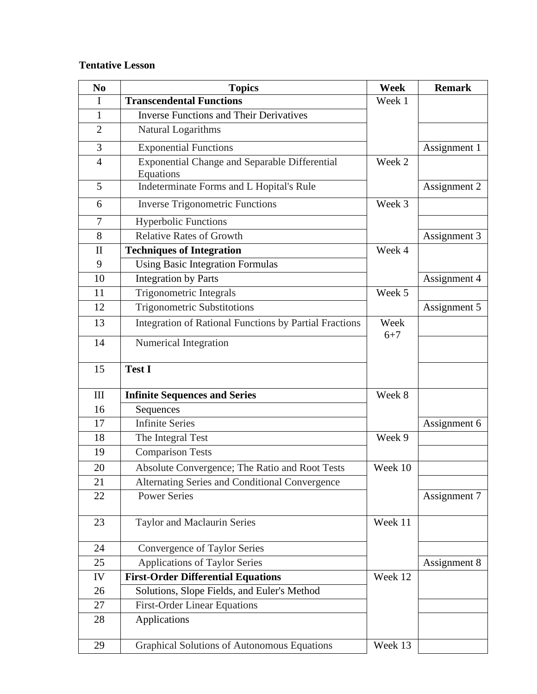# **Tentative Lesson**

| No             | <b>Topics</b>                                                     | Week            | <b>Remark</b> |
|----------------|-------------------------------------------------------------------|-----------------|---------------|
| I              | <b>Transcendental Functions</b>                                   | Week 1          |               |
| 1              | <b>Inverse Functions and Their Derivatives</b>                    |                 |               |
| $\overline{2}$ | Natural Logarithms                                                |                 |               |
| 3              | <b>Exponential Functions</b>                                      |                 | Assignment 1  |
| $\overline{4}$ | <b>Exponential Change and Separable Differential</b><br>Equations | Week 2          |               |
| 5              | Indeterminate Forms and L Hopital's Rule                          |                 | Assignment 2  |
| 6              | <b>Inverse Trigonometric Functions</b>                            | Week 3          |               |
| $\overline{7}$ | <b>Hyperbolic Functions</b>                                       |                 |               |
| 8              | <b>Relative Rates of Growth</b>                                   |                 | Assignment 3  |
| $\mathbf{I}$   | <b>Techniques of Integration</b>                                  | Week 4          |               |
| 9              | <b>Using Basic Integration Formulas</b>                           |                 |               |
| 10             | <b>Integration by Parts</b>                                       |                 | Assignment 4  |
| 11             | Trigonometric Integrals                                           | Week 5          |               |
| 12             | <b>Trigonometric Substitotions</b>                                |                 | Assignment 5  |
| 13             | Integration of Rational Functions by Partial Fractions            | Week<br>$6 + 7$ |               |
| 14             | Numerical Integration                                             |                 |               |
| 15             | <b>Test I</b>                                                     |                 |               |
| III            | <b>Infinite Sequences and Series</b>                              | Week 8          |               |
| 16             | Sequences                                                         |                 |               |
| 17             | Infinite Series                                                   |                 | Assignment 6  |
| 18             | The Integral Test                                                 | Week 9          |               |
| 19             | <b>Comparison Tests</b>                                           |                 |               |
| 20             | Absolute Convergence; The Ratio and Root Tests                    | Week 10         |               |
| 21             | Alternating Series and Conditional Convergence                    |                 |               |
| 22             | <b>Power Series</b>                                               |                 | Assignment 7  |
| 23             | <b>Taylor and Maclaurin Series</b>                                | Week 11         |               |
| 24             | Convergence of Taylor Series                                      |                 |               |
| 25             | <b>Applications of Taylor Series</b>                              |                 | Assignment 8  |
| IV             | <b>First-Order Differential Equations</b>                         | Week 12         |               |
| 26             | Solutions, Slope Fields, and Euler's Method                       |                 |               |
| 27             | <b>First-Order Linear Equations</b>                               |                 |               |
| 28             | Applications                                                      |                 |               |
| 29             | <b>Graphical Solutions of Autonomous Equations</b>                | Week 13         |               |